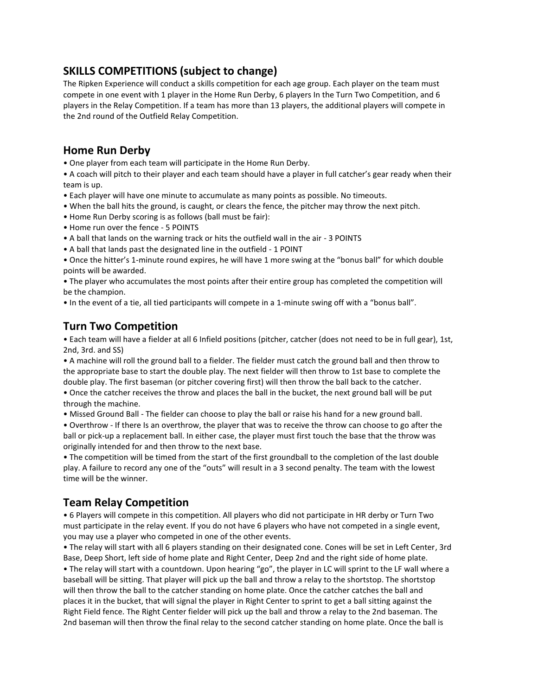## **SKILLS COMPETITIONS (subject to change)**

The Ripken Experience will conduct a skills competition for each age group. Each player on the team must compete in one event with 1 player in the Home Run Derby, 6 players In the Turn Two Competition, and 6 players in the Relay Competition. If a team has more than 13 players, the additional players will compete in the 2nd round of the Outfield Relay Competition.

## **Home Run Derby**

• One player from each team will participate in the Home Run Derby.

• A coach will pitch to their player and each team should have a player in full catcher's gear ready when their team is up.

- Each player will have one minute to accumulate as many points as possible. No timeouts.
- When the ball hits the ground, is caught, or clears the fence, the pitcher may throw the next pitch.
- Home Run Derby scoring is as follows (ball must be fair):
- Home run over the fence 5 POINTS
- A ball that lands on the warning track or hits the outfield wall in the air 3 POINTS
- A ball that lands past the designated line in the outfield 1 POINT

• Once the hitter's 1-minute round expires, he will have 1 more swing at the "bonus ball" for which double points will be awarded.

• The player who accumulates the most points after their entire group has completed the competition will be the champion.

• In the event of a tie, all tied participants will compete in a 1-minute swing off with a "bonus ball".

## **Turn Two Competition**

• Each team will have a fielder at all 6 Infield positions (pitcher, catcher (does not need to be in full gear), 1st, 2nd, 3rd. and SS)

• A machine will roll the ground ball to a fielder. The fielder must catch the ground ball and then throw to the appropriate base to start the double play. The next fielder will then throw to 1st base to complete the double play. The first baseman (or pitcher covering first) will then throw the ball back to the catcher.

• Once the catcher receives the throw and places the ball in the bucket, the next ground ball will be put through the machine.

• Missed Ground Ball - The fielder can choose to play the ball or raise his hand for a new ground ball.

• Overthrow - If there Is an overthrow, the player that was to receive the throw can choose to go after the ball or pick-up a replacement ball. In either case, the player must first touch the base that the throw was originally intended for and then throw to the next base.

• The competition will be timed from the start of the first groundball to the completion of the last double play. A failure to record any one of the "outs" will result in a 3 second penalty. The team with the lowest time will be the winner.

## **Team Relay Competition**

• 6 Players will compete in this competition. All players who did not participate in HR derby or Turn Two must participate in the relay event. If you do not have 6 players who have not competed in a single event, you may use a player who competed in one of the other events.

• The relay will start with all 6 players standing on their designated cone. Cones will be set in Left Center, 3rd Base, Deep Short, left side of home plate and Right Center, Deep 2nd and the right side of home plate.

• The relay will start with a countdown. Upon hearing "go", the player in LC will sprint to the LF wall where a baseball will be sitting. That player will pick up the ball and throw a relay to the shortstop. The shortstop will then throw the ball to the catcher standing on home plate. Once the catcher catches the ball and places it in the bucket, that will signal the player in Right Center to sprint to get a ball sitting against the Right Field fence. The Right Center fielder will pick up the ball and throw a relay to the 2nd baseman. The 2nd baseman will then throw the final relay to the second catcher standing on home plate. Once the ball is